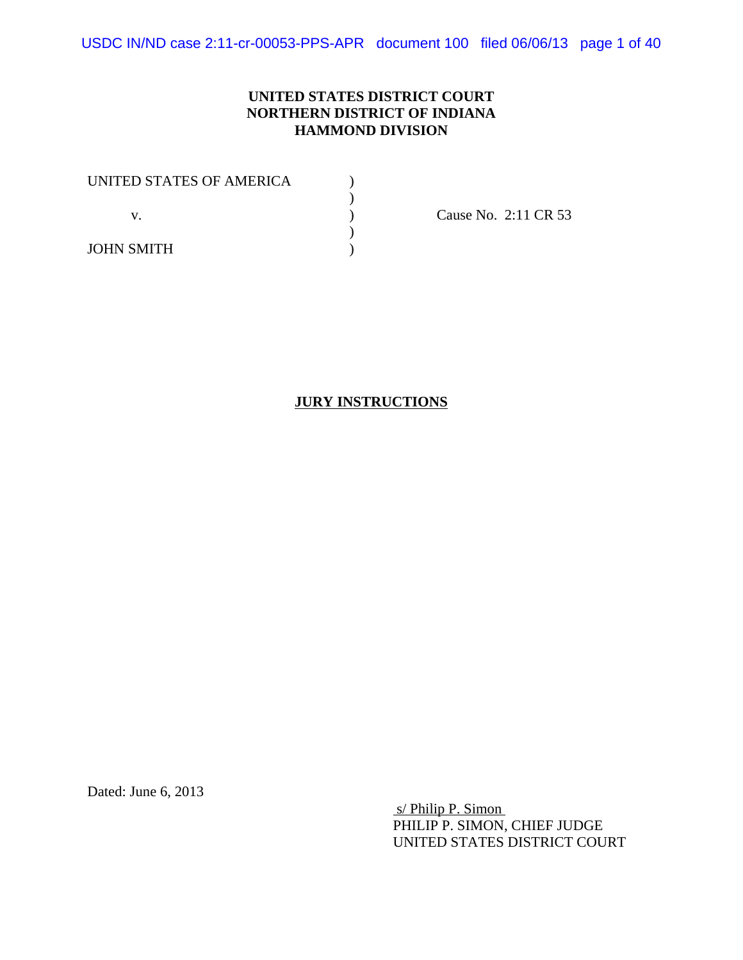## **UNITED STATES DISTRICT COURT NORTHERN DISTRICT OF INDIANA HAMMOND DIVISION**

| UNITED STATES OF AMERICA |  |
|--------------------------|--|
|                          |  |
|                          |  |
|                          |  |
| <b>JOHN SMITH</b>        |  |

Cause No. 2:11 CR 53

## **JURY INSTRUCTIONS**

Dated: June 6, 2013

 s/ Philip P. Simon PHILIP P. SIMON, CHIEF JUDGE UNITED STATES DISTRICT COURT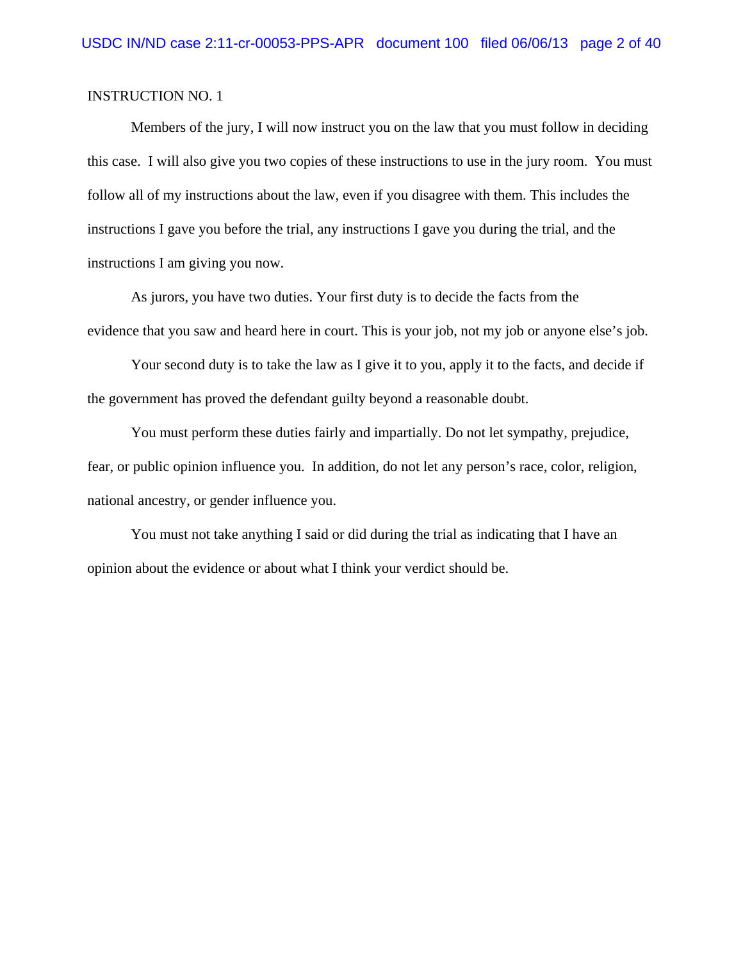Members of the jury, I will now instruct you on the law that you must follow in deciding this case. I will also give you two copies of these instructions to use in the jury room. You must follow all of my instructions about the law, even if you disagree with them. This includes the instructions I gave you before the trial, any instructions I gave you during the trial, and the instructions I am giving you now.

As jurors, you have two duties. Your first duty is to decide the facts from the evidence that you saw and heard here in court. This is your job, not my job or anyone else's job.

Your second duty is to take the law as I give it to you, apply it to the facts, and decide if the government has proved the defendant guilty beyond a reasonable doubt.

You must perform these duties fairly and impartially. Do not let sympathy, prejudice, fear, or public opinion influence you. In addition, do not let any person's race, color, religion, national ancestry, or gender influence you.

You must not take anything I said or did during the trial as indicating that I have an opinion about the evidence or about what I think your verdict should be.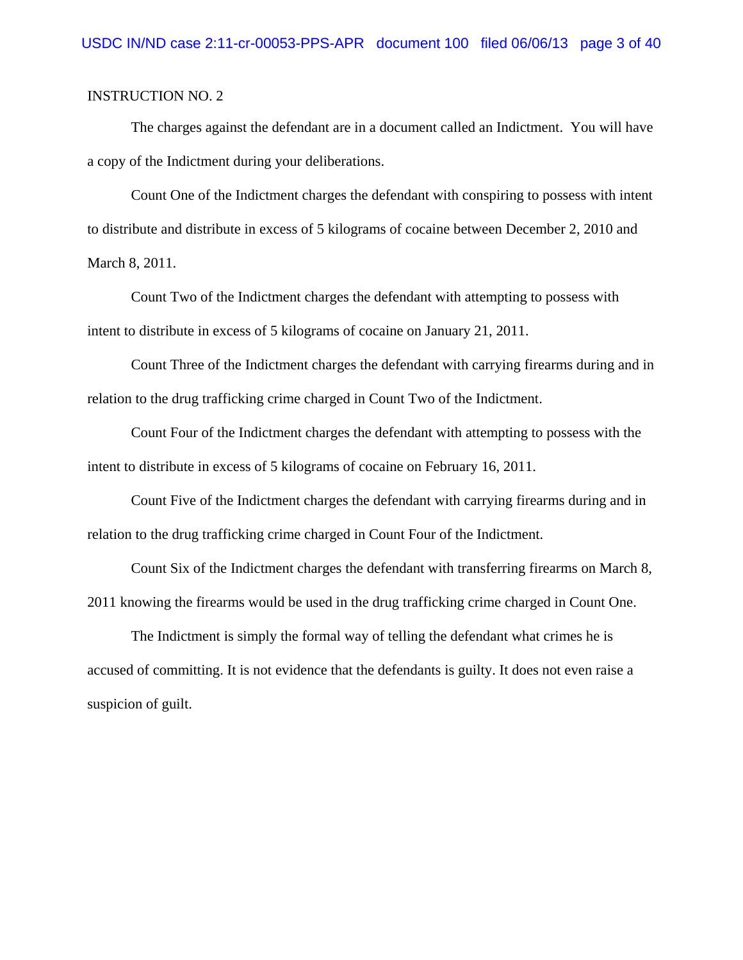The charges against the defendant are in a document called an Indictment. You will have a copy of the Indictment during your deliberations.

Count One of the Indictment charges the defendant with conspiring to possess with intent to distribute and distribute in excess of 5 kilograms of cocaine between December 2, 2010 and March 8, 2011.

Count Two of the Indictment charges the defendant with attempting to possess with intent to distribute in excess of 5 kilograms of cocaine on January 21, 2011.

Count Three of the Indictment charges the defendant with carrying firearms during and in relation to the drug trafficking crime charged in Count Two of the Indictment.

Count Four of the Indictment charges the defendant with attempting to possess with the intent to distribute in excess of 5 kilograms of cocaine on February 16, 2011.

Count Five of the Indictment charges the defendant with carrying firearms during and in relation to the drug trafficking crime charged in Count Four of the Indictment.

Count Six of the Indictment charges the defendant with transferring firearms on March 8, 2011 knowing the firearms would be used in the drug trafficking crime charged in Count One.

The Indictment is simply the formal way of telling the defendant what crimes he is accused of committing. It is not evidence that the defendants is guilty. It does not even raise a suspicion of guilt.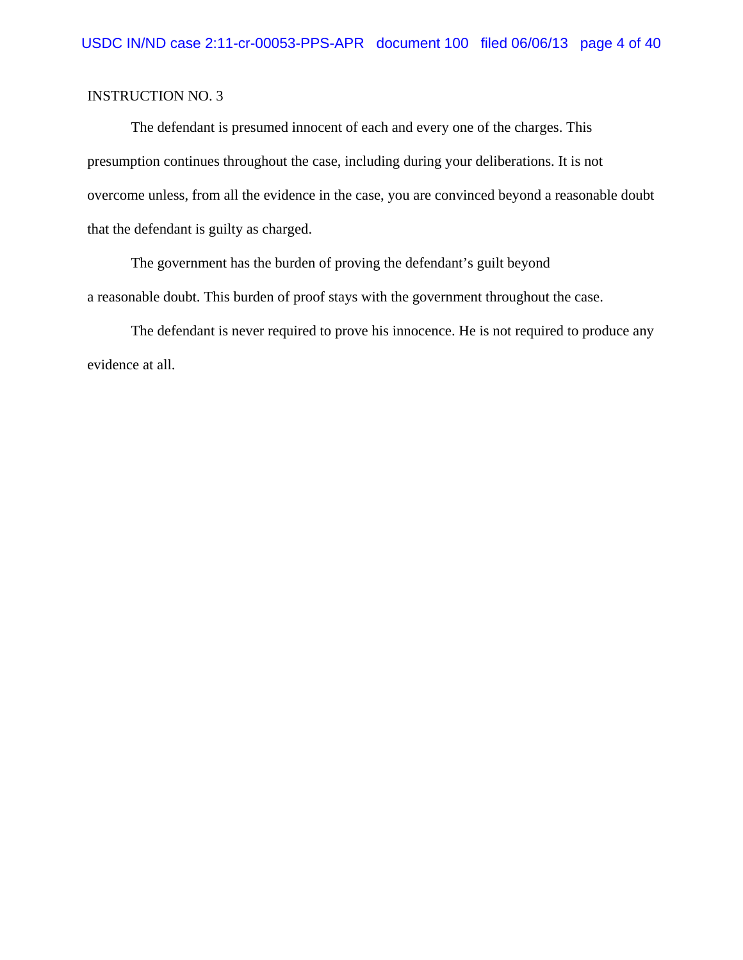The defendant is presumed innocent of each and every one of the charges. This presumption continues throughout the case, including during your deliberations. It is not overcome unless, from all the evidence in the case, you are convinced beyond a reasonable doubt that the defendant is guilty as charged.

The government has the burden of proving the defendant's guilt beyond a reasonable doubt. This burden of proof stays with the government throughout the case.

The defendant is never required to prove his innocence. He is not required to produce any evidence at all.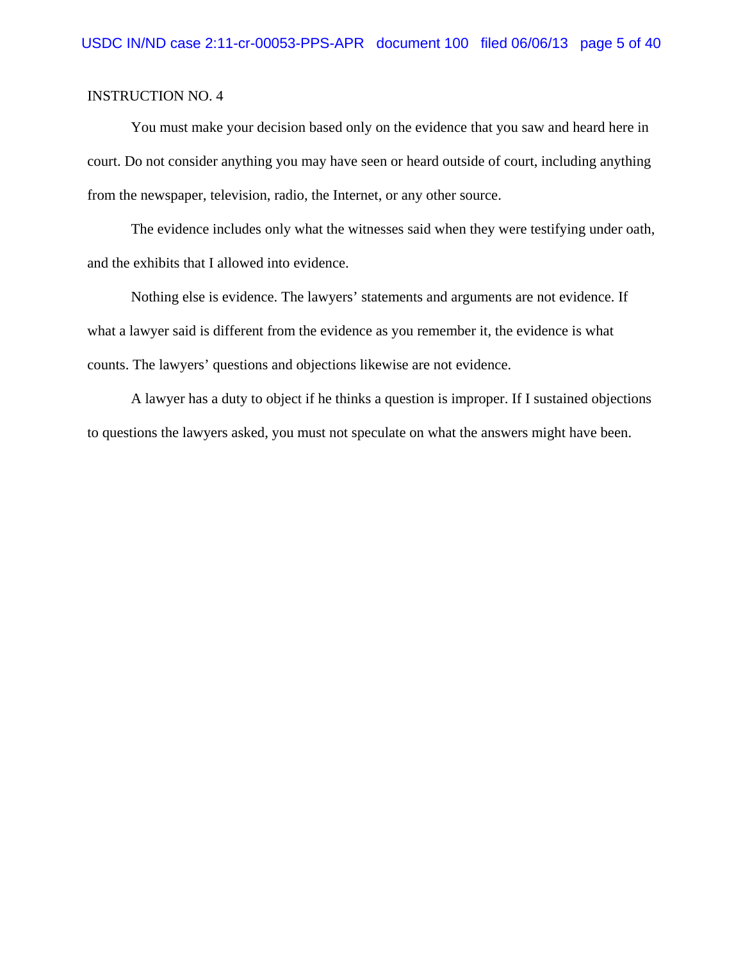You must make your decision based only on the evidence that you saw and heard here in court. Do not consider anything you may have seen or heard outside of court, including anything from the newspaper, television, radio, the Internet, or any other source.

The evidence includes only what the witnesses said when they were testifying under oath, and the exhibits that I allowed into evidence.

Nothing else is evidence. The lawyers' statements and arguments are not evidence. If what a lawyer said is different from the evidence as you remember it, the evidence is what counts. The lawyers' questions and objections likewise are not evidence.

A lawyer has a duty to object if he thinks a question is improper. If I sustained objections to questions the lawyers asked, you must not speculate on what the answers might have been.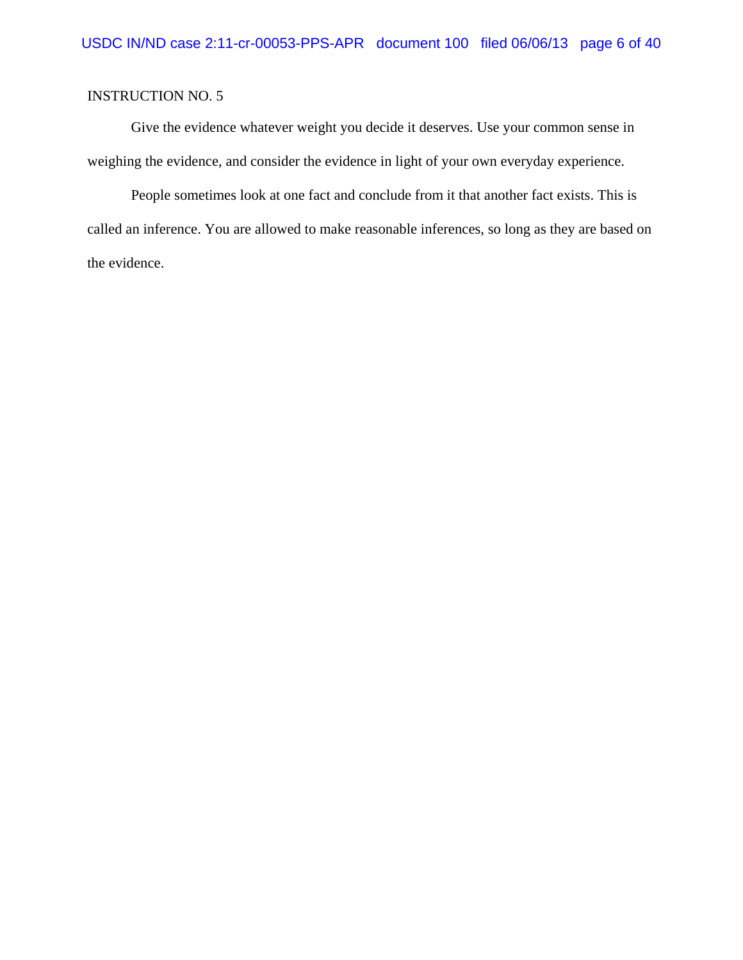Give the evidence whatever weight you decide it deserves. Use your common sense in weighing the evidence, and consider the evidence in light of your own everyday experience.

People sometimes look at one fact and conclude from it that another fact exists. This is called an inference. You are allowed to make reasonable inferences, so long as they are based on the evidence.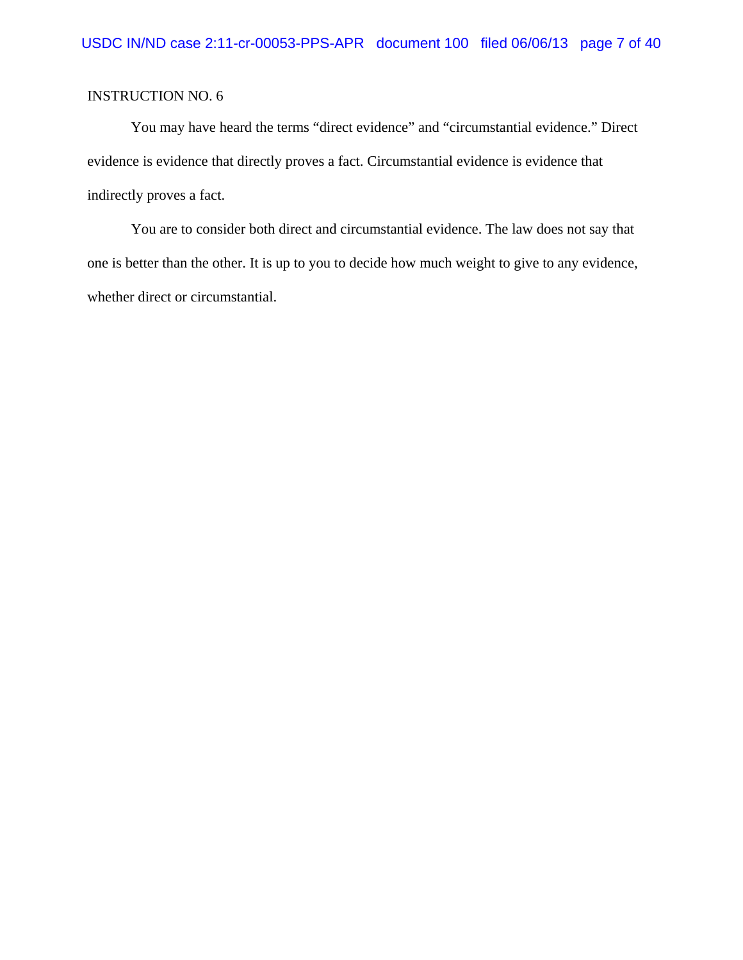You may have heard the terms "direct evidence" and "circumstantial evidence." Direct evidence is evidence that directly proves a fact. Circumstantial evidence is evidence that indirectly proves a fact.

You are to consider both direct and circumstantial evidence. The law does not say that one is better than the other. It is up to you to decide how much weight to give to any evidence, whether direct or circumstantial.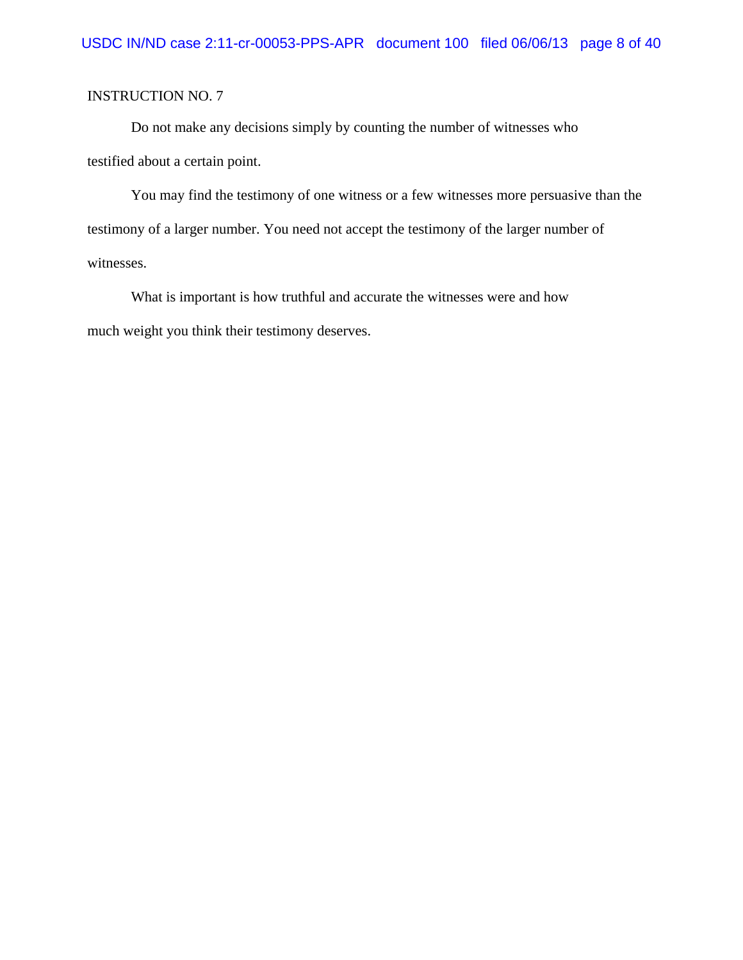Do not make any decisions simply by counting the number of witnesses who testified about a certain point.

You may find the testimony of one witness or a few witnesses more persuasive than the testimony of a larger number. You need not accept the testimony of the larger number of witnesses.

What is important is how truthful and accurate the witnesses were and how much weight you think their testimony deserves.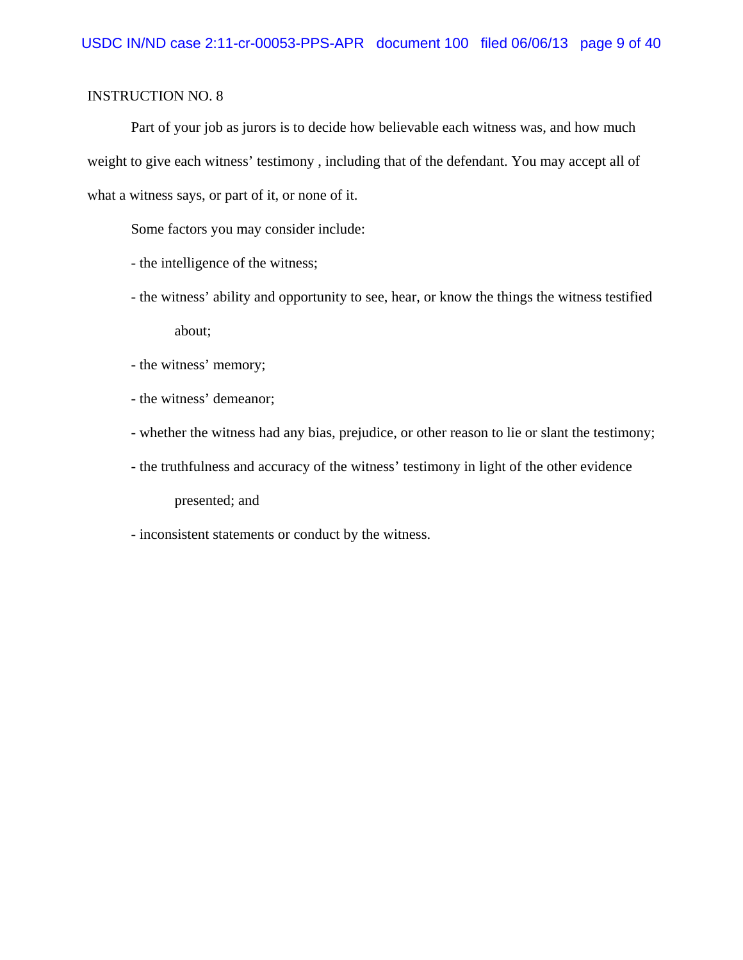Part of your job as jurors is to decide how believable each witness was, and how much weight to give each witness' testimony , including that of the defendant. You may accept all of what a witness says, or part of it, or none of it.

Some factors you may consider include:

- the intelligence of the witness;
- the witness' ability and opportunity to see, hear, or know the things the witness testified about;
- the witness' memory;
- the witness' demeanor;
- whether the witness had any bias, prejudice, or other reason to lie or slant the testimony;
- the truthfulness and accuracy of the witness' testimony in light of the other evidence

presented; and

- inconsistent statements or conduct by the witness.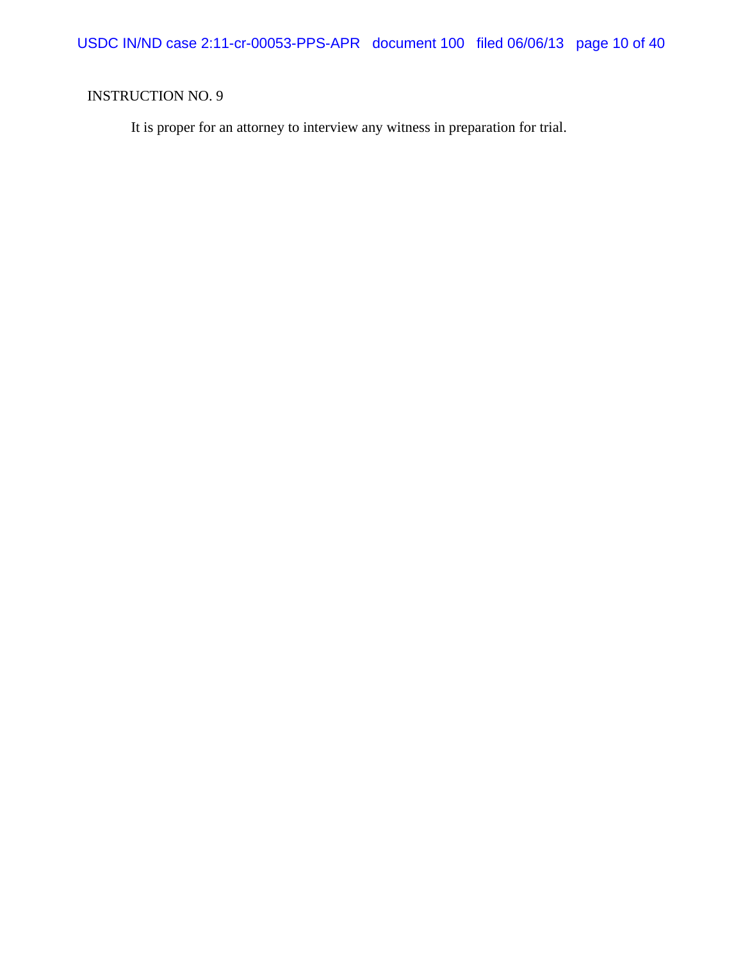It is proper for an attorney to interview any witness in preparation for trial.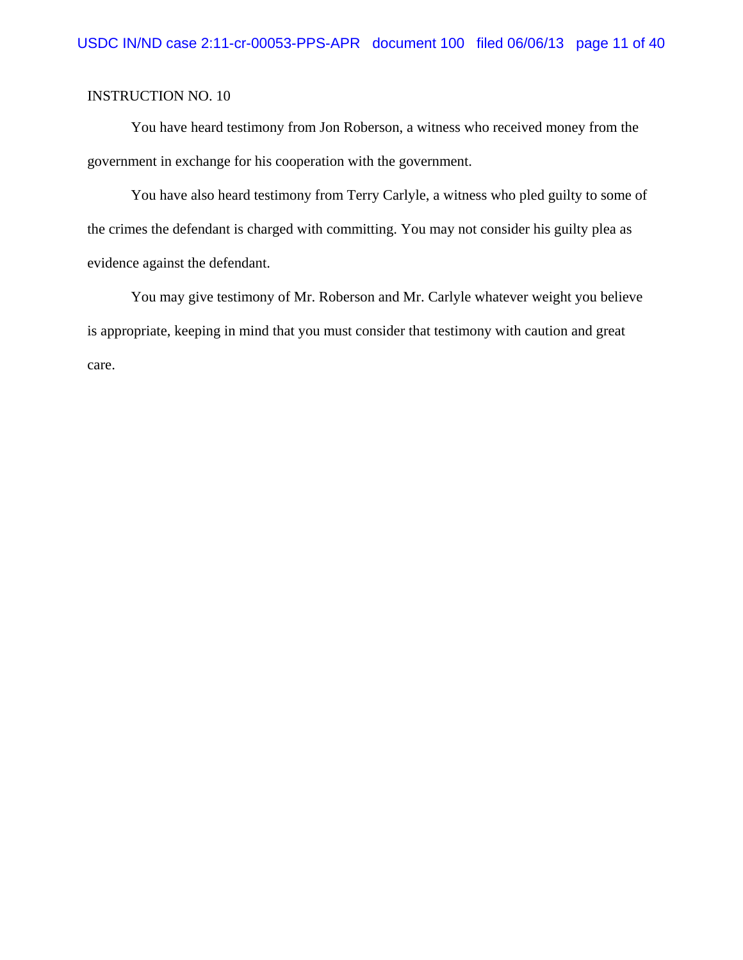You have heard testimony from Jon Roberson, a witness who received money from the government in exchange for his cooperation with the government.

You have also heard testimony from Terry Carlyle, a witness who pled guilty to some of the crimes the defendant is charged with committing. You may not consider his guilty plea as evidence against the defendant.

You may give testimony of Mr. Roberson and Mr. Carlyle whatever weight you believe is appropriate, keeping in mind that you must consider that testimony with caution and great care.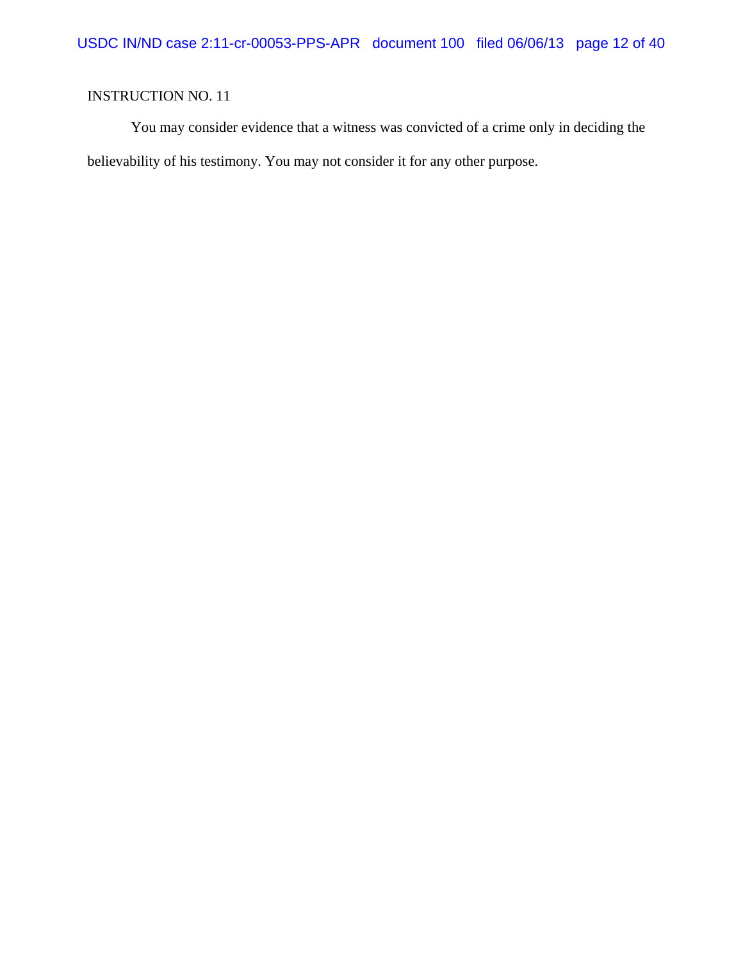You may consider evidence that a witness was convicted of a crime only in deciding the believability of his testimony. You may not consider it for any other purpose.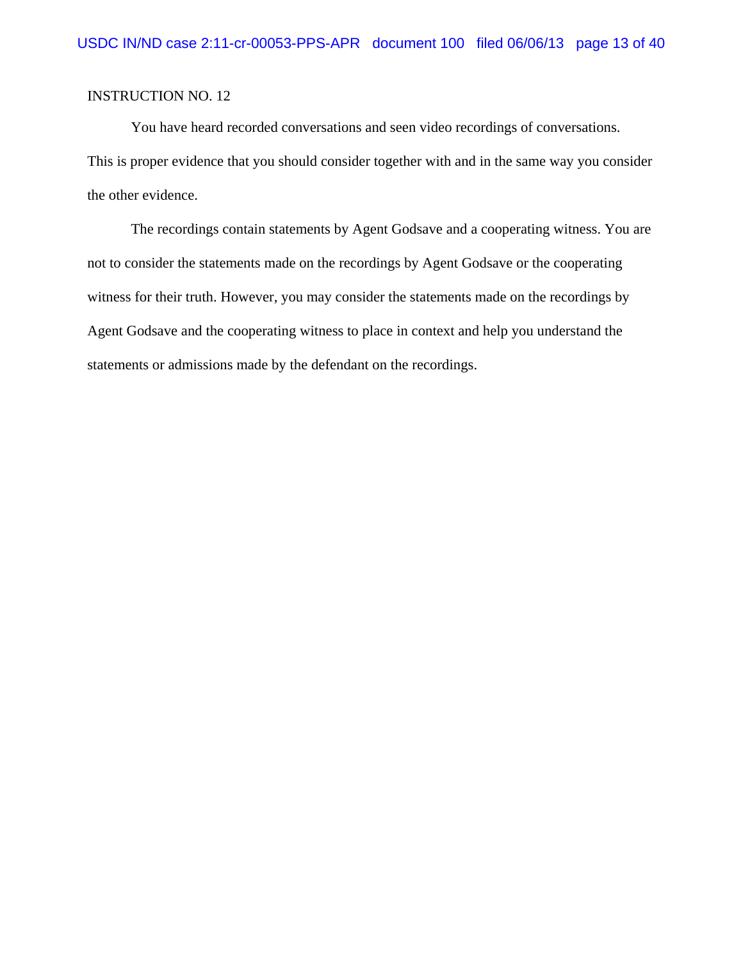You have heard recorded conversations and seen video recordings of conversations. This is proper evidence that you should consider together with and in the same way you consider the other evidence.

The recordings contain statements by Agent Godsave and a cooperating witness. You are not to consider the statements made on the recordings by Agent Godsave or the cooperating witness for their truth. However, you may consider the statements made on the recordings by Agent Godsave and the cooperating witness to place in context and help you understand the statements or admissions made by the defendant on the recordings.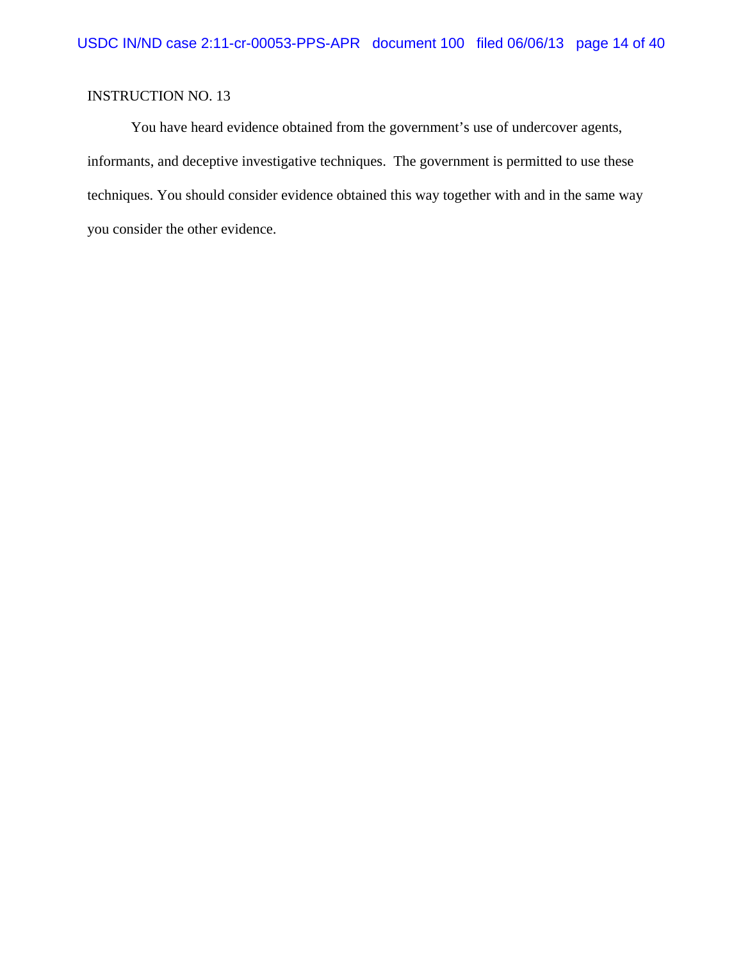You have heard evidence obtained from the government's use of undercover agents, informants, and deceptive investigative techniques. The government is permitted to use these techniques. You should consider evidence obtained this way together with and in the same way you consider the other evidence.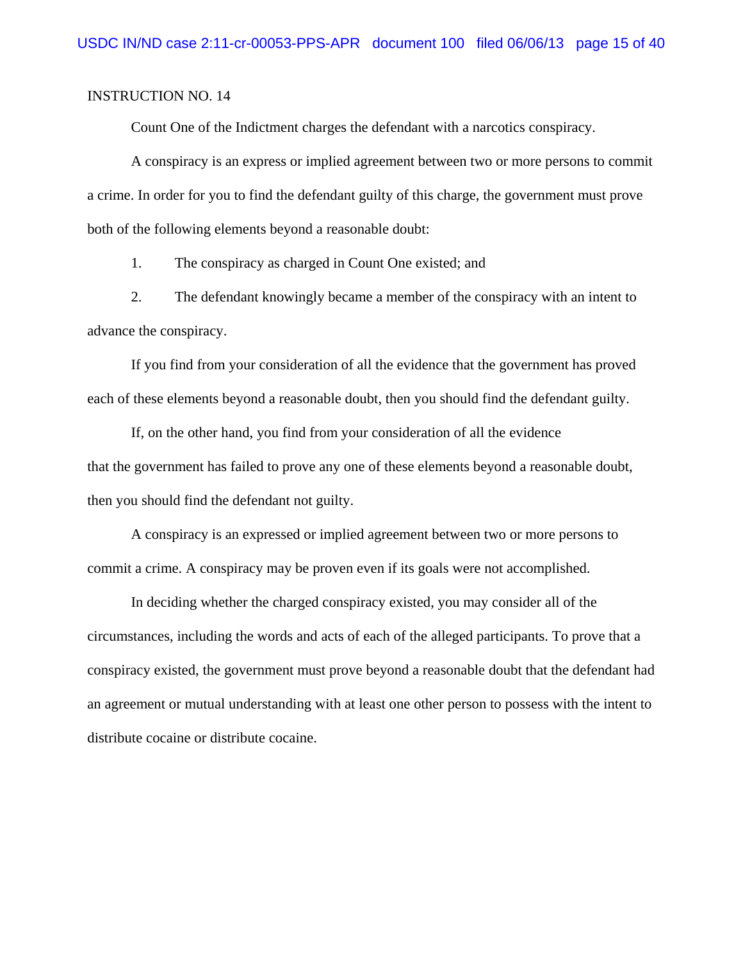Count One of the Indictment charges the defendant with a narcotics conspiracy.

A conspiracy is an express or implied agreement between two or more persons to commit a crime. In order for you to find the defendant guilty of this charge, the government must prove both of the following elements beyond a reasonable doubt:

1. The conspiracy as charged in Count One existed; and

2. The defendant knowingly became a member of the conspiracy with an intent to advance the conspiracy.

If you find from your consideration of all the evidence that the government has proved each of these elements beyond a reasonable doubt, then you should find the defendant guilty.

If, on the other hand, you find from your consideration of all the evidence that the government has failed to prove any one of these elements beyond a reasonable doubt, then you should find the defendant not guilty.

A conspiracy is an expressed or implied agreement between two or more persons to commit a crime. A conspiracy may be proven even if its goals were not accomplished.

In deciding whether the charged conspiracy existed, you may consider all of the circumstances, including the words and acts of each of the alleged participants. To prove that a conspiracy existed, the government must prove beyond a reasonable doubt that the defendant had an agreement or mutual understanding with at least one other person to possess with the intent to distribute cocaine or distribute cocaine.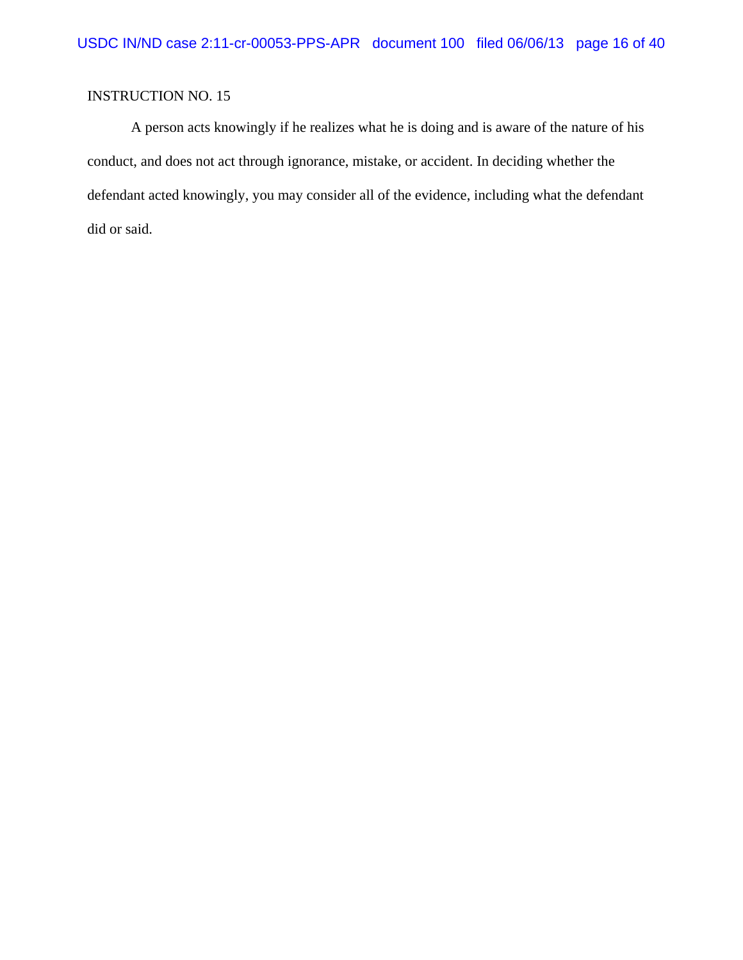A person acts knowingly if he realizes what he is doing and is aware of the nature of his conduct, and does not act through ignorance, mistake, or accident. In deciding whether the defendant acted knowingly, you may consider all of the evidence, including what the defendant did or said.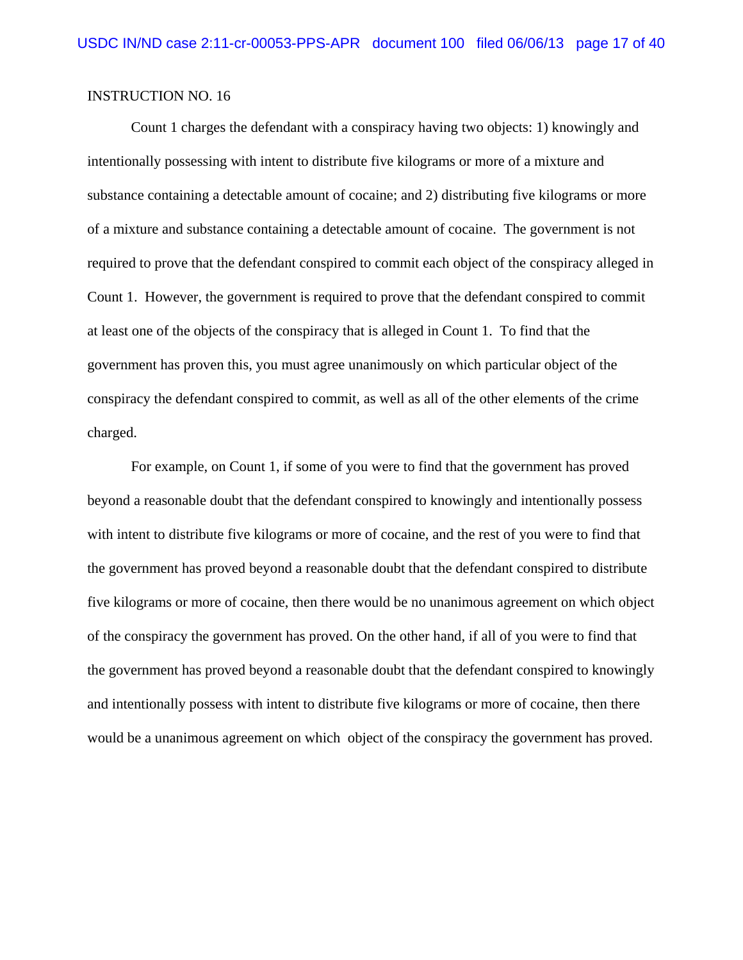Count 1 charges the defendant with a conspiracy having two objects: 1) knowingly and intentionally possessing with intent to distribute five kilograms or more of a mixture and substance containing a detectable amount of cocaine; and 2) distributing five kilograms or more of a mixture and substance containing a detectable amount of cocaine. The government is not required to prove that the defendant conspired to commit each object of the conspiracy alleged in Count 1. However, the government is required to prove that the defendant conspired to commit at least one of the objects of the conspiracy that is alleged in Count 1. To find that the government has proven this, you must agree unanimously on which particular object of the conspiracy the defendant conspired to commit, as well as all of the other elements of the crime charged.

For example, on Count 1, if some of you were to find that the government has proved beyond a reasonable doubt that the defendant conspired to knowingly and intentionally possess with intent to distribute five kilograms or more of cocaine, and the rest of you were to find that the government has proved beyond a reasonable doubt that the defendant conspired to distribute five kilograms or more of cocaine, then there would be no unanimous agreement on which object of the conspiracy the government has proved. On the other hand, if all of you were to find that the government has proved beyond a reasonable doubt that the defendant conspired to knowingly and intentionally possess with intent to distribute five kilograms or more of cocaine, then there would be a unanimous agreement on which object of the conspiracy the government has proved.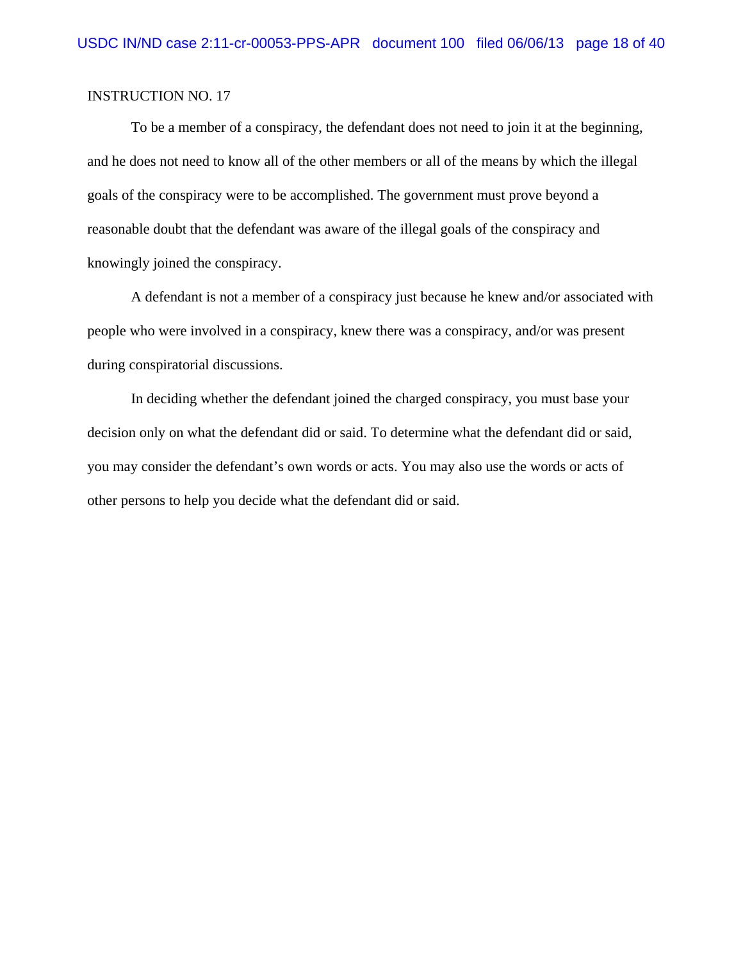To be a member of a conspiracy, the defendant does not need to join it at the beginning, and he does not need to know all of the other members or all of the means by which the illegal goals of the conspiracy were to be accomplished. The government must prove beyond a reasonable doubt that the defendant was aware of the illegal goals of the conspiracy and knowingly joined the conspiracy.

A defendant is not a member of a conspiracy just because he knew and/or associated with people who were involved in a conspiracy, knew there was a conspiracy, and/or was present during conspiratorial discussions.

In deciding whether the defendant joined the charged conspiracy, you must base your decision only on what the defendant did or said. To determine what the defendant did or said, you may consider the defendant's own words or acts. You may also use the words or acts of other persons to help you decide what the defendant did or said.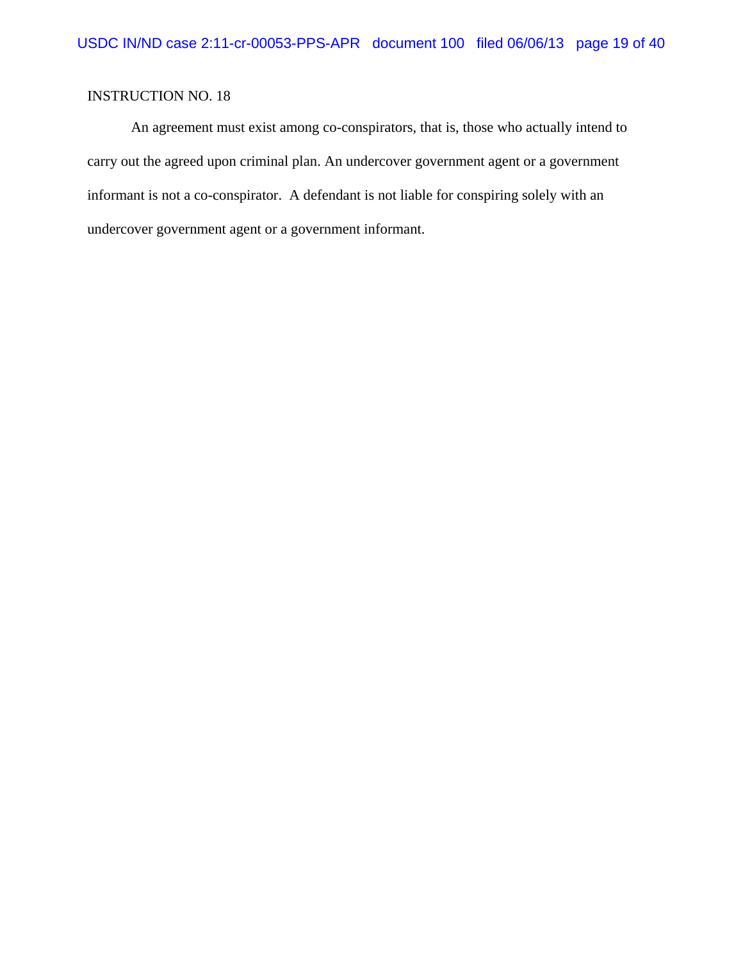An agreement must exist among co-conspirators, that is, those who actually intend to carry out the agreed upon criminal plan. An undercover government agent or a government informant is not a co-conspirator. A defendant is not liable for conspiring solely with an undercover government agent or a government informant.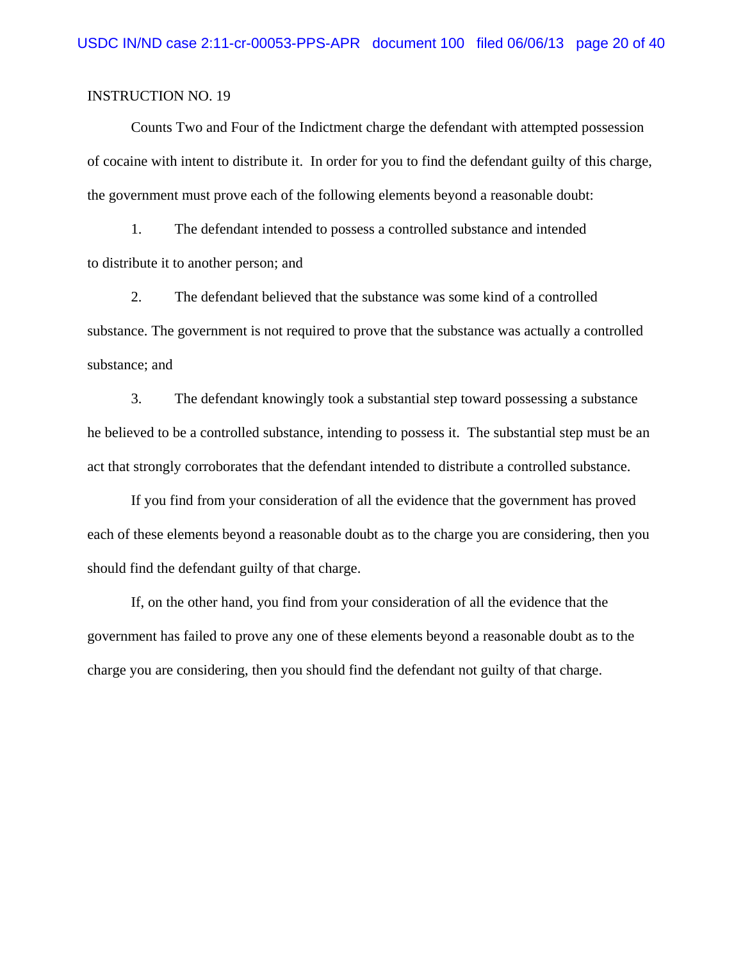Counts Two and Four of the Indictment charge the defendant with attempted possession of cocaine with intent to distribute it. In order for you to find the defendant guilty of this charge, the government must prove each of the following elements beyond a reasonable doubt:

1. The defendant intended to possess a controlled substance and intended to distribute it to another person; and

2. The defendant believed that the substance was some kind of a controlled substance. The government is not required to prove that the substance was actually a controlled substance; and

3. The defendant knowingly took a substantial step toward possessing a substance he believed to be a controlled substance, intending to possess it. The substantial step must be an act that strongly corroborates that the defendant intended to distribute a controlled substance.

If you find from your consideration of all the evidence that the government has proved each of these elements beyond a reasonable doubt as to the charge you are considering, then you should find the defendant guilty of that charge.

If, on the other hand, you find from your consideration of all the evidence that the government has failed to prove any one of these elements beyond a reasonable doubt as to the charge you are considering, then you should find the defendant not guilty of that charge.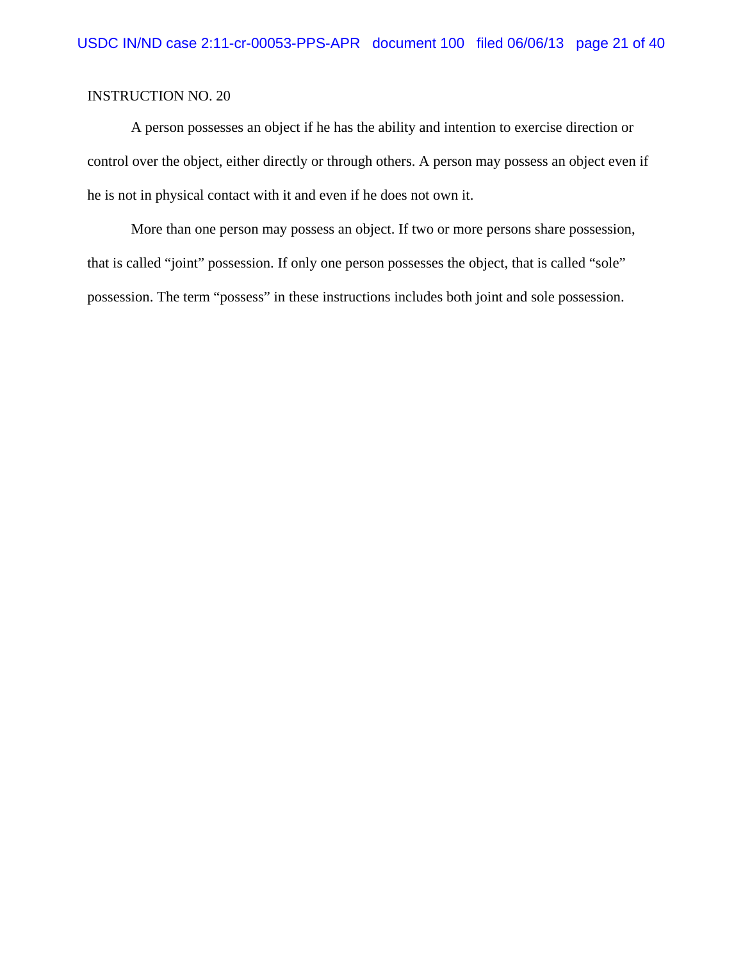A person possesses an object if he has the ability and intention to exercise direction or control over the object, either directly or through others. A person may possess an object even if he is not in physical contact with it and even if he does not own it.

More than one person may possess an object. If two or more persons share possession, that is called "joint" possession. If only one person possesses the object, that is called "sole" possession. The term "possess" in these instructions includes both joint and sole possession.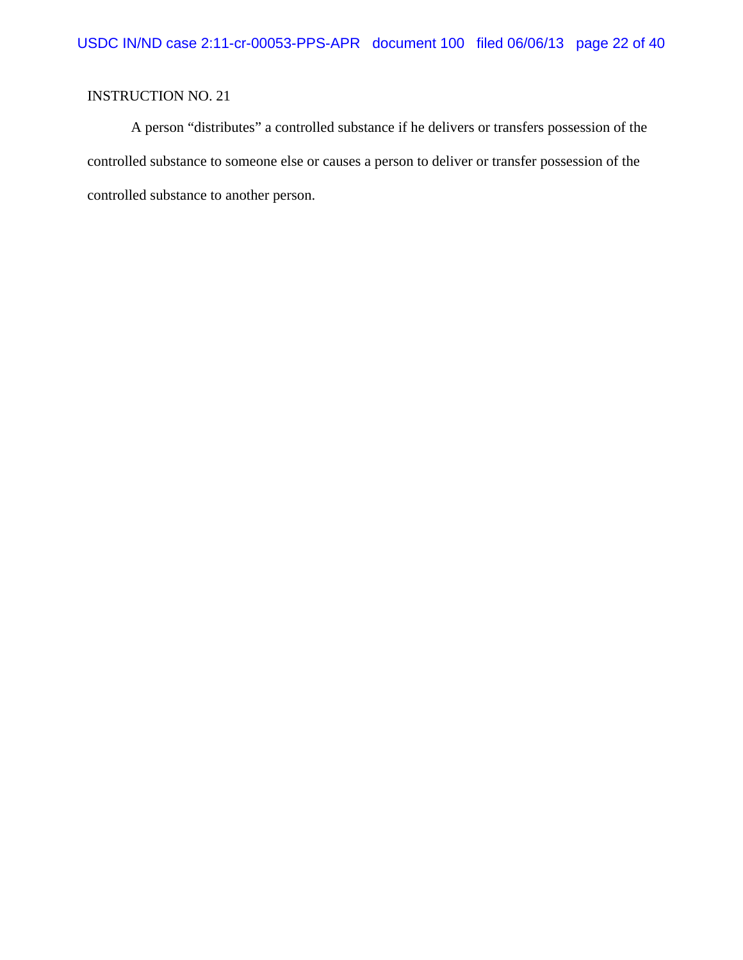A person "distributes" a controlled substance if he delivers or transfers possession of the controlled substance to someone else or causes a person to deliver or transfer possession of the controlled substance to another person.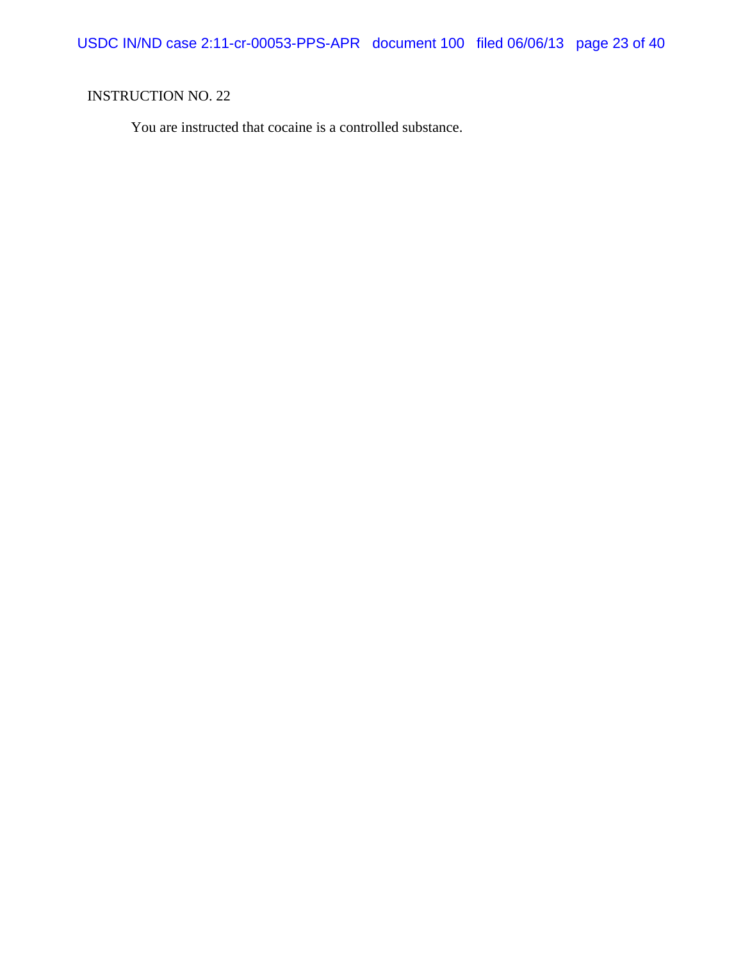You are instructed that cocaine is a controlled substance.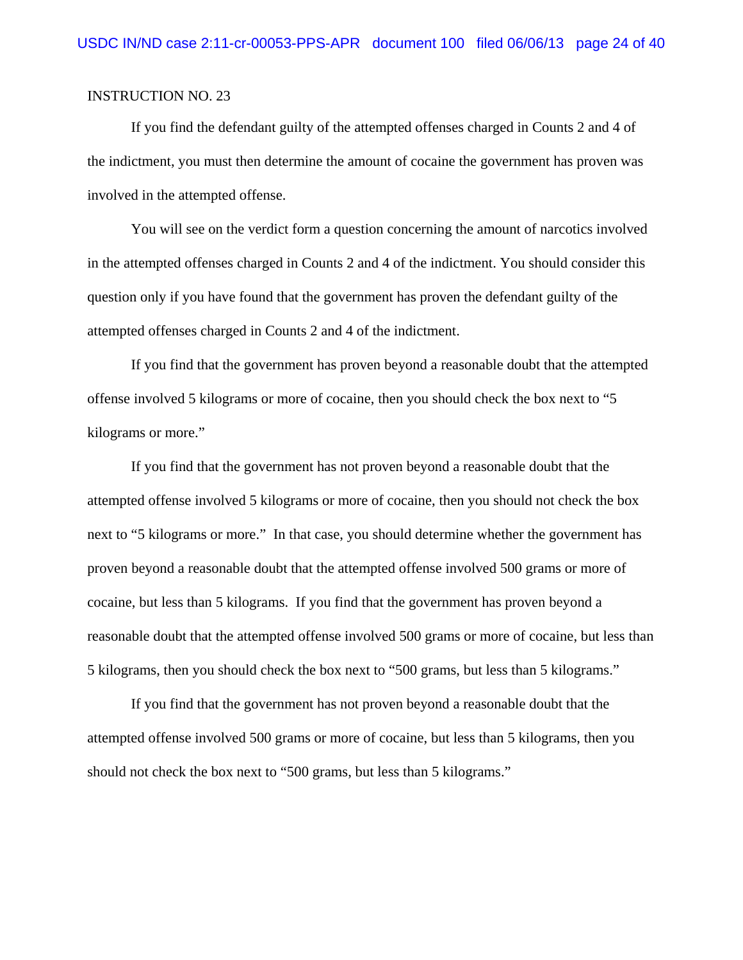If you find the defendant guilty of the attempted offenses charged in Counts 2 and 4 of the indictment, you must then determine the amount of cocaine the government has proven was involved in the attempted offense.

You will see on the verdict form a question concerning the amount of narcotics involved in the attempted offenses charged in Counts 2 and 4 of the indictment. You should consider this question only if you have found that the government has proven the defendant guilty of the attempted offenses charged in Counts 2 and 4 of the indictment.

If you find that the government has proven beyond a reasonable doubt that the attempted offense involved 5 kilograms or more of cocaine, then you should check the box next to "5 kilograms or more."

If you find that the government has not proven beyond a reasonable doubt that the attempted offense involved 5 kilograms or more of cocaine, then you should not check the box next to "5 kilograms or more." In that case, you should determine whether the government has proven beyond a reasonable doubt that the attempted offense involved 500 grams or more of cocaine, but less than 5 kilograms. If you find that the government has proven beyond a reasonable doubt that the attempted offense involved 500 grams or more of cocaine, but less than 5 kilograms, then you should check the box next to "500 grams, but less than 5 kilograms."

If you find that the government has not proven beyond a reasonable doubt that the attempted offense involved 500 grams or more of cocaine, but less than 5 kilograms, then you should not check the box next to "500 grams, but less than 5 kilograms."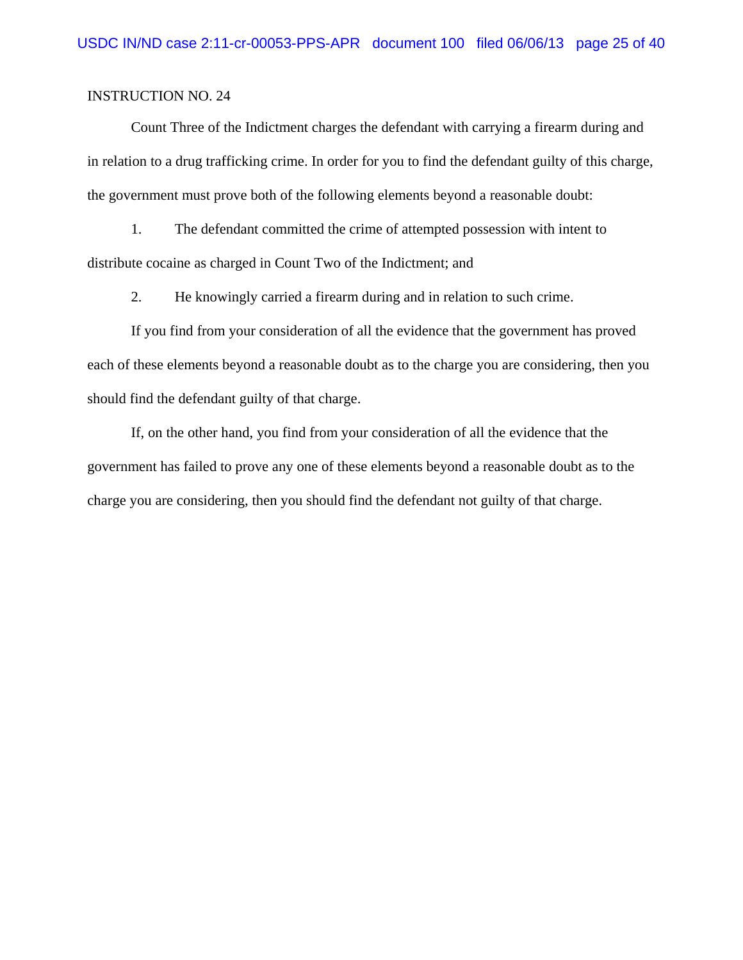Count Three of the Indictment charges the defendant with carrying a firearm during and in relation to a drug trafficking crime. In order for you to find the defendant guilty of this charge, the government must prove both of the following elements beyond a reasonable doubt:

1. The defendant committed the crime of attempted possession with intent to distribute cocaine as charged in Count Two of the Indictment; and

2. He knowingly carried a firearm during and in relation to such crime.

If you find from your consideration of all the evidence that the government has proved each of these elements beyond a reasonable doubt as to the charge you are considering, then you should find the defendant guilty of that charge.

If, on the other hand, you find from your consideration of all the evidence that the government has failed to prove any one of these elements beyond a reasonable doubt as to the charge you are considering, then you should find the defendant not guilty of that charge.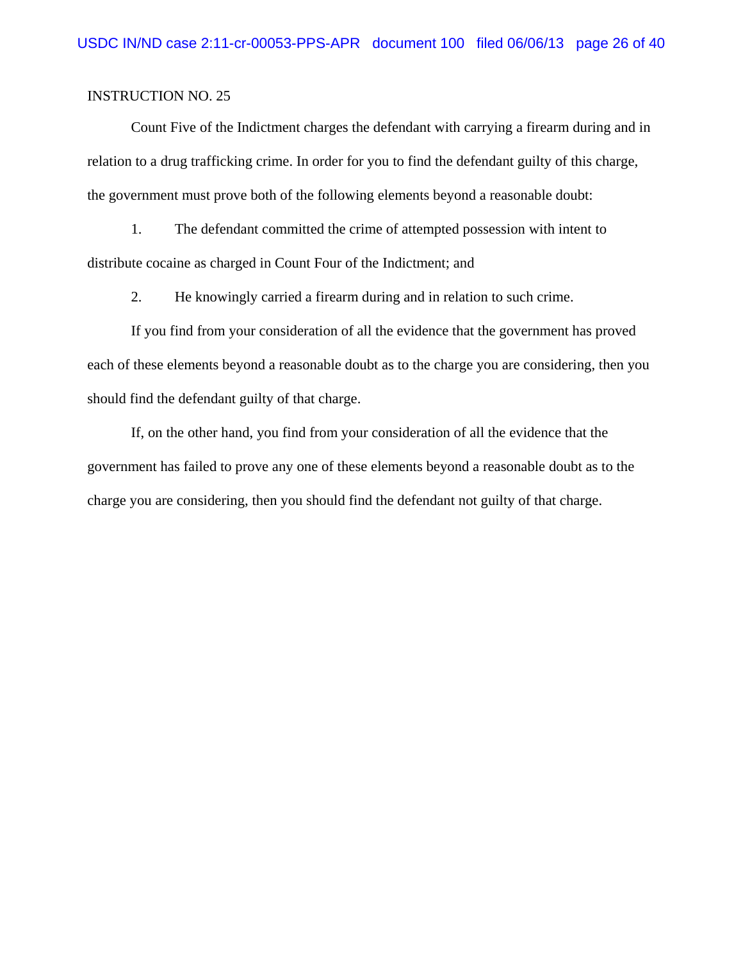Count Five of the Indictment charges the defendant with carrying a firearm during and in relation to a drug trafficking crime. In order for you to find the defendant guilty of this charge, the government must prove both of the following elements beyond a reasonable doubt:

1. The defendant committed the crime of attempted possession with intent to distribute cocaine as charged in Count Four of the Indictment; and

2. He knowingly carried a firearm during and in relation to such crime.

If you find from your consideration of all the evidence that the government has proved each of these elements beyond a reasonable doubt as to the charge you are considering, then you should find the defendant guilty of that charge.

If, on the other hand, you find from your consideration of all the evidence that the government has failed to prove any one of these elements beyond a reasonable doubt as to the charge you are considering, then you should find the defendant not guilty of that charge.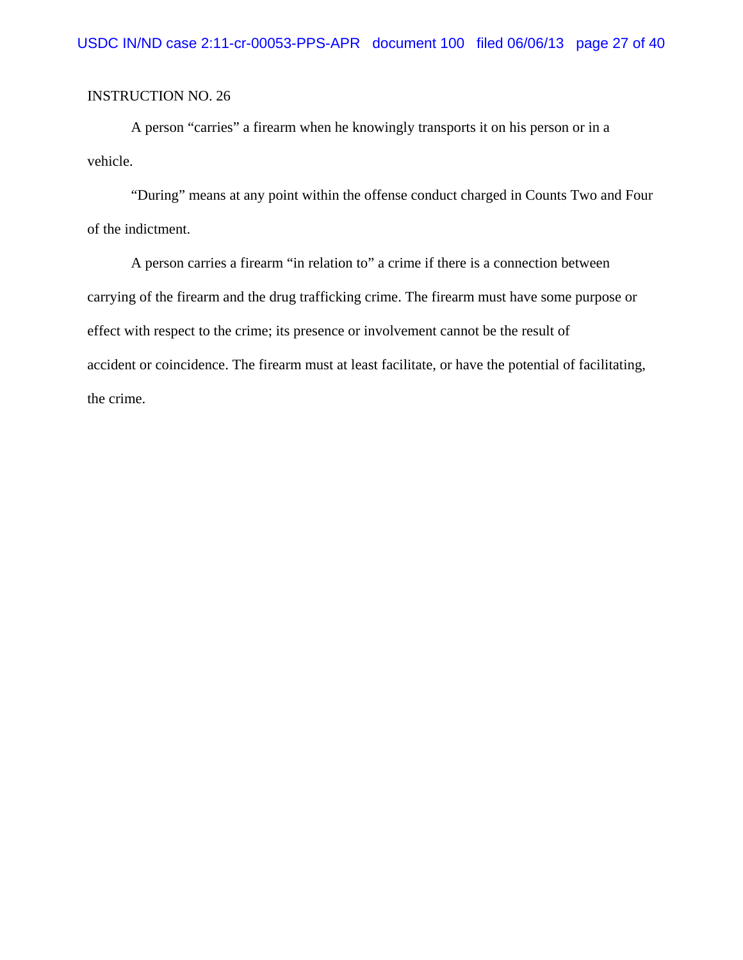A person "carries" a firearm when he knowingly transports it on his person or in a vehicle.

"During" means at any point within the offense conduct charged in Counts Two and Four of the indictment.

A person carries a firearm "in relation to" a crime if there is a connection between carrying of the firearm and the drug trafficking crime. The firearm must have some purpose or effect with respect to the crime; its presence or involvement cannot be the result of accident or coincidence. The firearm must at least facilitate, or have the potential of facilitating, the crime.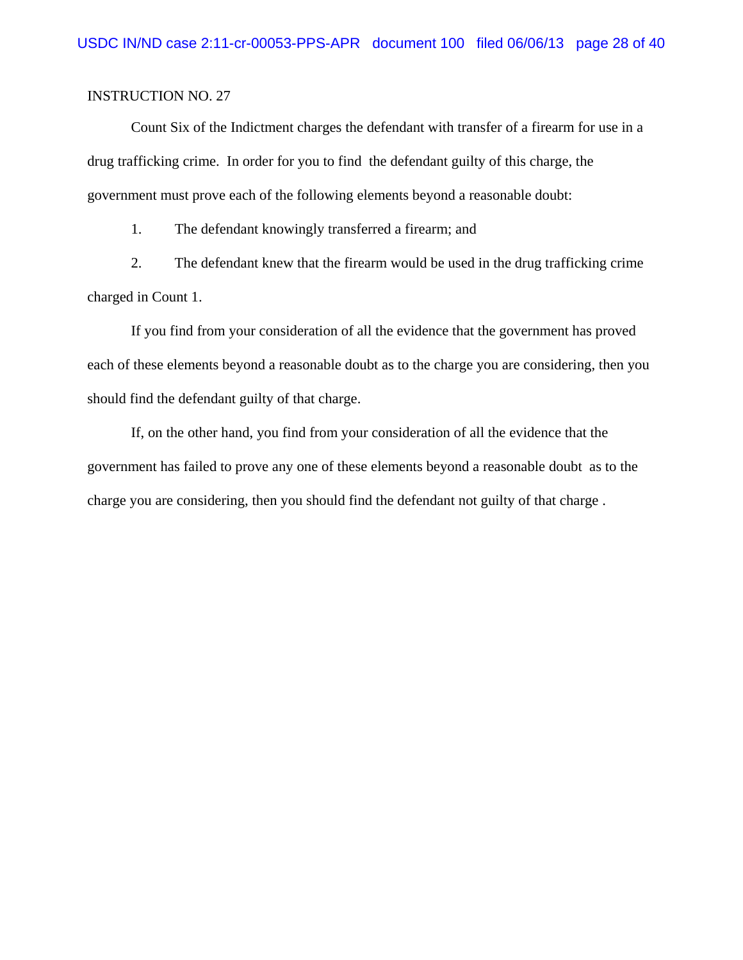Count Six of the Indictment charges the defendant with transfer of a firearm for use in a drug trafficking crime. In order for you to find the defendant guilty of this charge, the government must prove each of the following elements beyond a reasonable doubt:

1. The defendant knowingly transferred a firearm; and

2. The defendant knew that the firearm would be used in the drug trafficking crime charged in Count 1.

If you find from your consideration of all the evidence that the government has proved each of these elements beyond a reasonable doubt as to the charge you are considering, then you should find the defendant guilty of that charge.

If, on the other hand, you find from your consideration of all the evidence that the government has failed to prove any one of these elements beyond a reasonable doubt as to the charge you are considering, then you should find the defendant not guilty of that charge .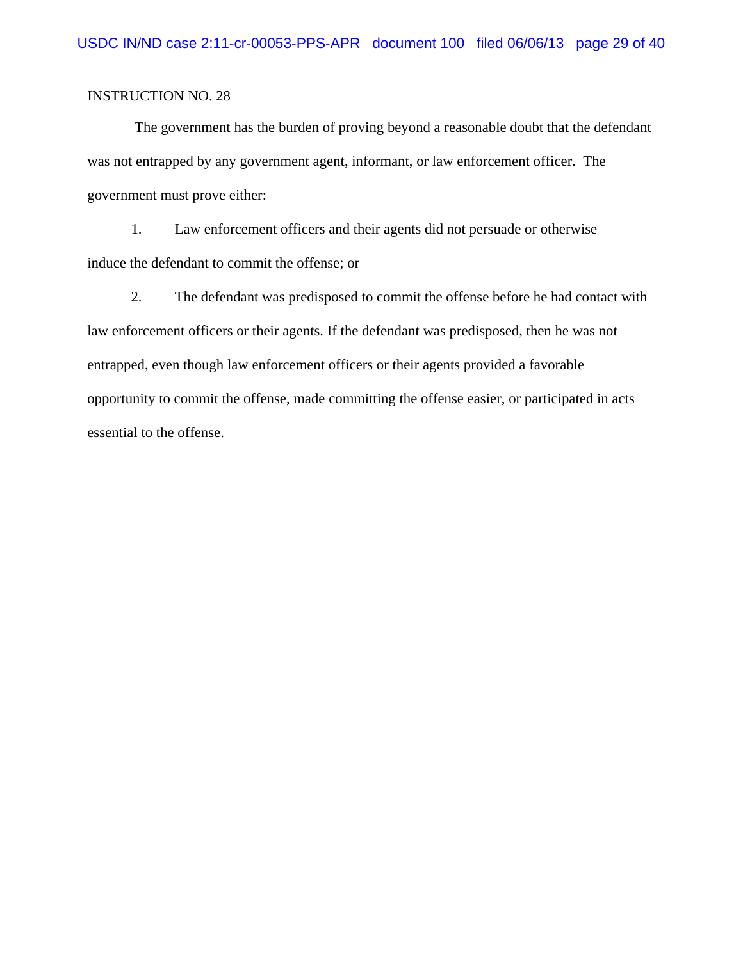The government has the burden of proving beyond a reasonable doubt that the defendant was not entrapped by any government agent, informant, or law enforcement officer. The government must prove either:

1. Law enforcement officers and their agents did not persuade or otherwise induce the defendant to commit the offense; or

2. The defendant was predisposed to commit the offense before he had contact with law enforcement officers or their agents. If the defendant was predisposed, then he was not entrapped, even though law enforcement officers or their agents provided a favorable opportunity to commit the offense, made committing the offense easier, or participated in acts essential to the offense.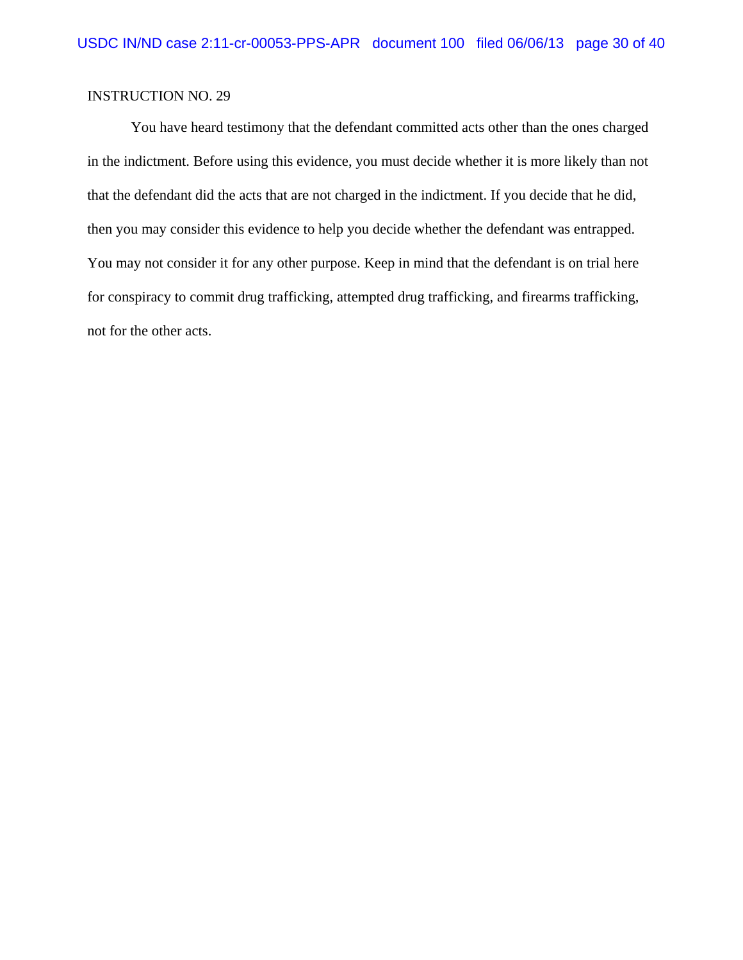You have heard testimony that the defendant committed acts other than the ones charged in the indictment. Before using this evidence, you must decide whether it is more likely than not that the defendant did the acts that are not charged in the indictment. If you decide that he did, then you may consider this evidence to help you decide whether the defendant was entrapped. You may not consider it for any other purpose. Keep in mind that the defendant is on trial here for conspiracy to commit drug trafficking, attempted drug trafficking, and firearms trafficking, not for the other acts.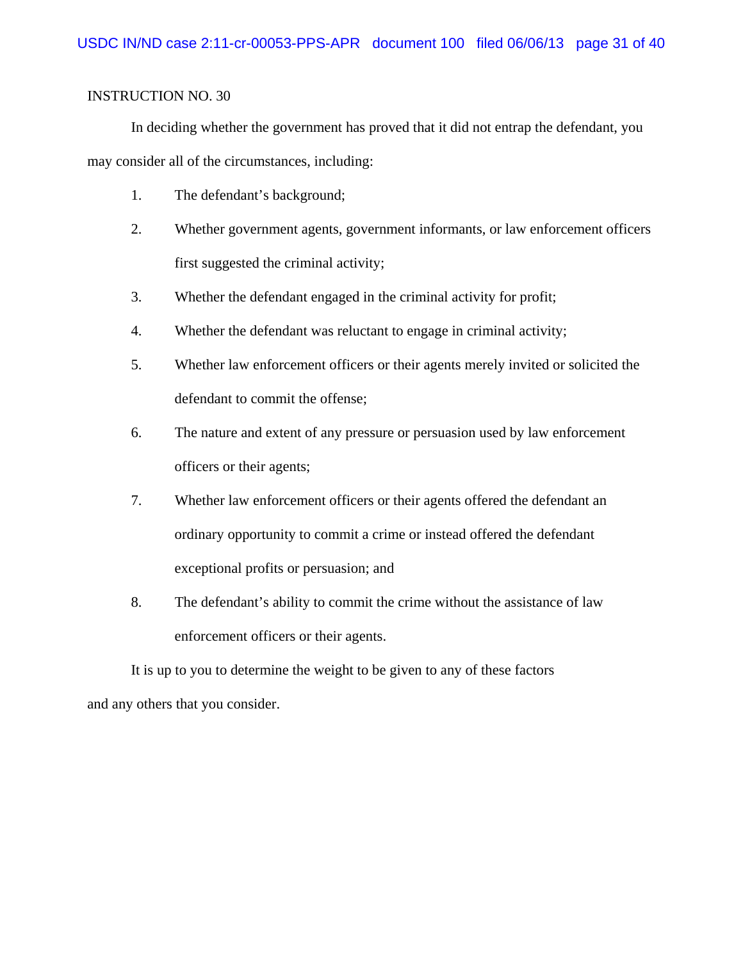In deciding whether the government has proved that it did not entrap the defendant, you may consider all of the circumstances, including:

- 1. The defendant's background;
- 2. Whether government agents, government informants, or law enforcement officers first suggested the criminal activity;
- 3. Whether the defendant engaged in the criminal activity for profit;
- 4. Whether the defendant was reluctant to engage in criminal activity;
- 5. Whether law enforcement officers or their agents merely invited or solicited the defendant to commit the offense;
- 6. The nature and extent of any pressure or persuasion used by law enforcement officers or their agents;
- 7. Whether law enforcement officers or their agents offered the defendant an ordinary opportunity to commit a crime or instead offered the defendant exceptional profits or persuasion; and
- 8. The defendant's ability to commit the crime without the assistance of law enforcement officers or their agents.

It is up to you to determine the weight to be given to any of these factors and any others that you consider.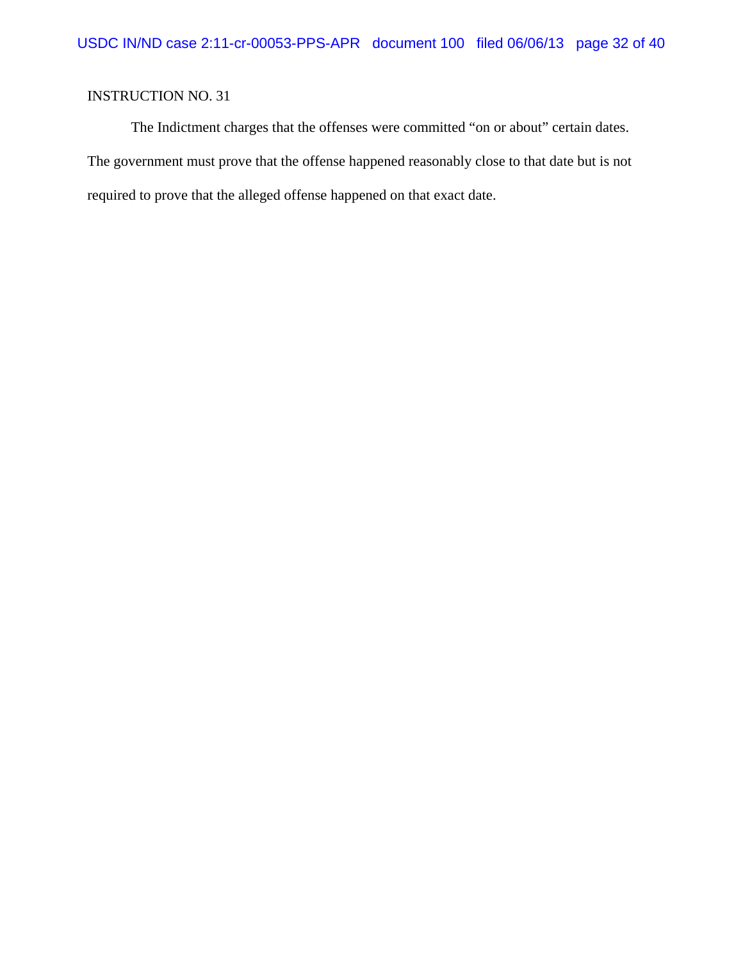The Indictment charges that the offenses were committed "on or about" certain dates. The government must prove that the offense happened reasonably close to that date but is not required to prove that the alleged offense happened on that exact date.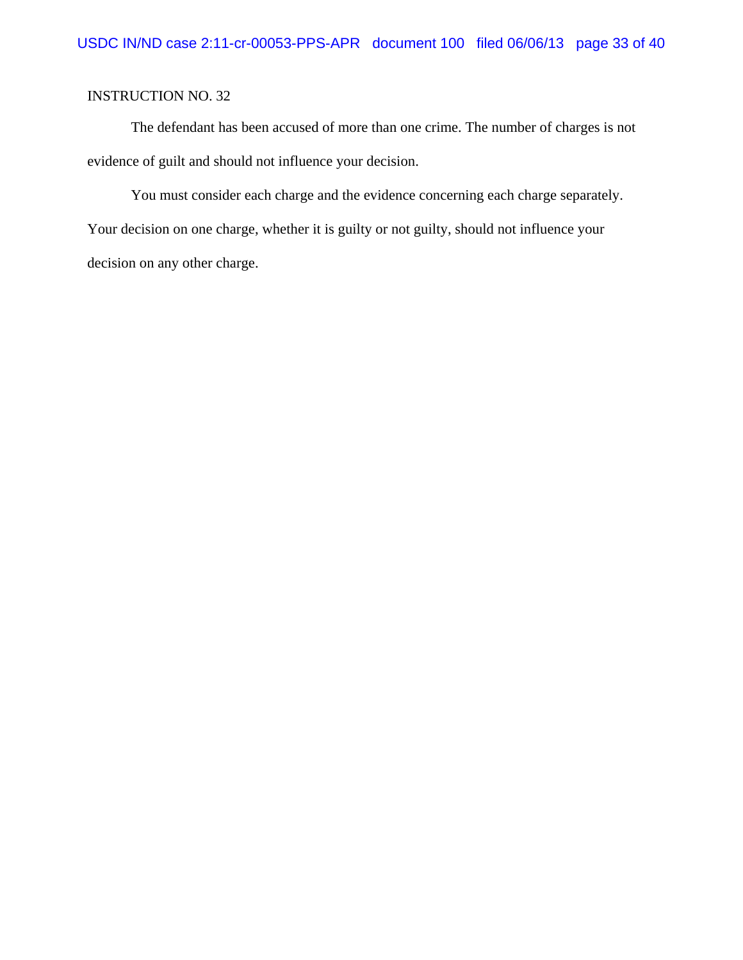The defendant has been accused of more than one crime. The number of charges is not evidence of guilt and should not influence your decision.

You must consider each charge and the evidence concerning each charge separately. Your decision on one charge, whether it is guilty or not guilty, should not influence your decision on any other charge.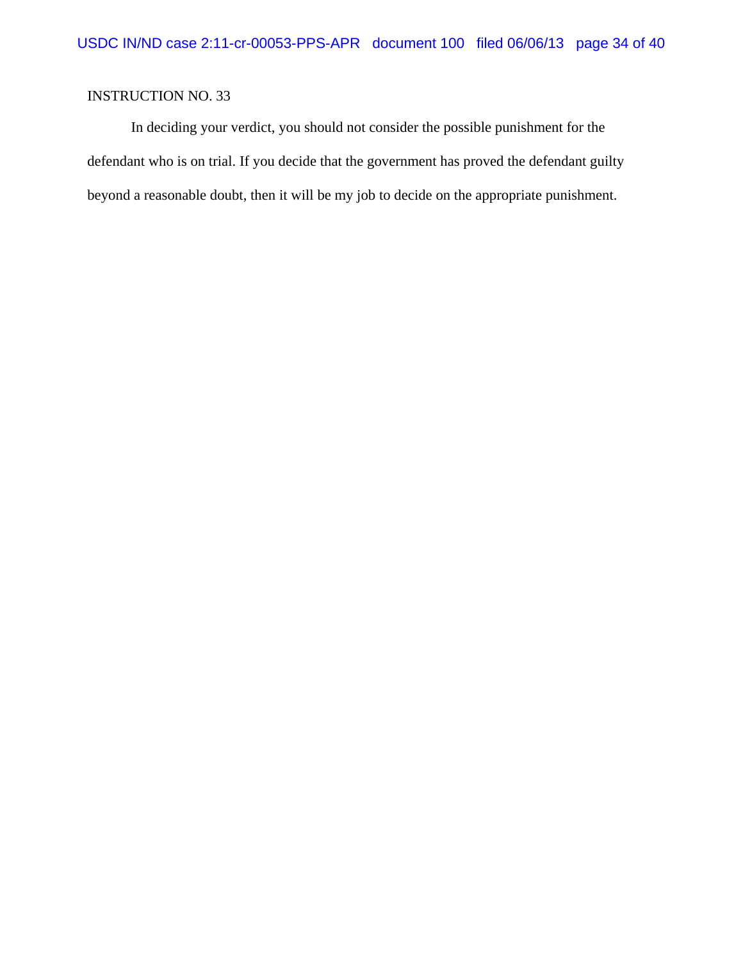In deciding your verdict, you should not consider the possible punishment for the defendant who is on trial. If you decide that the government has proved the defendant guilty beyond a reasonable doubt, then it will be my job to decide on the appropriate punishment.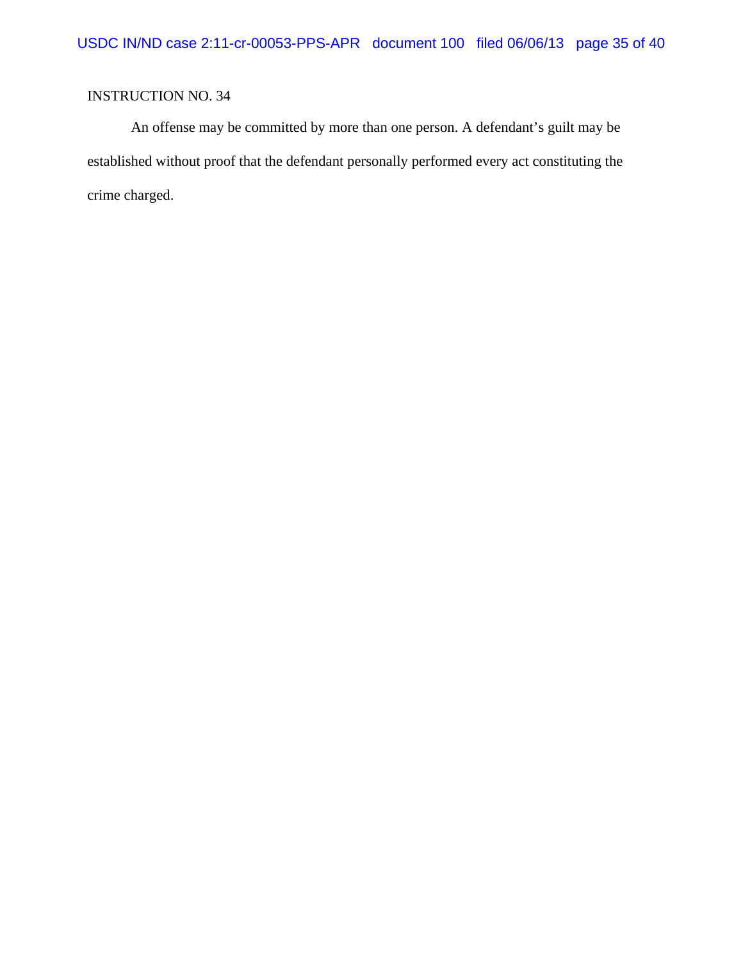An offense may be committed by more than one person. A defendant's guilt may be established without proof that the defendant personally performed every act constituting the crime charged.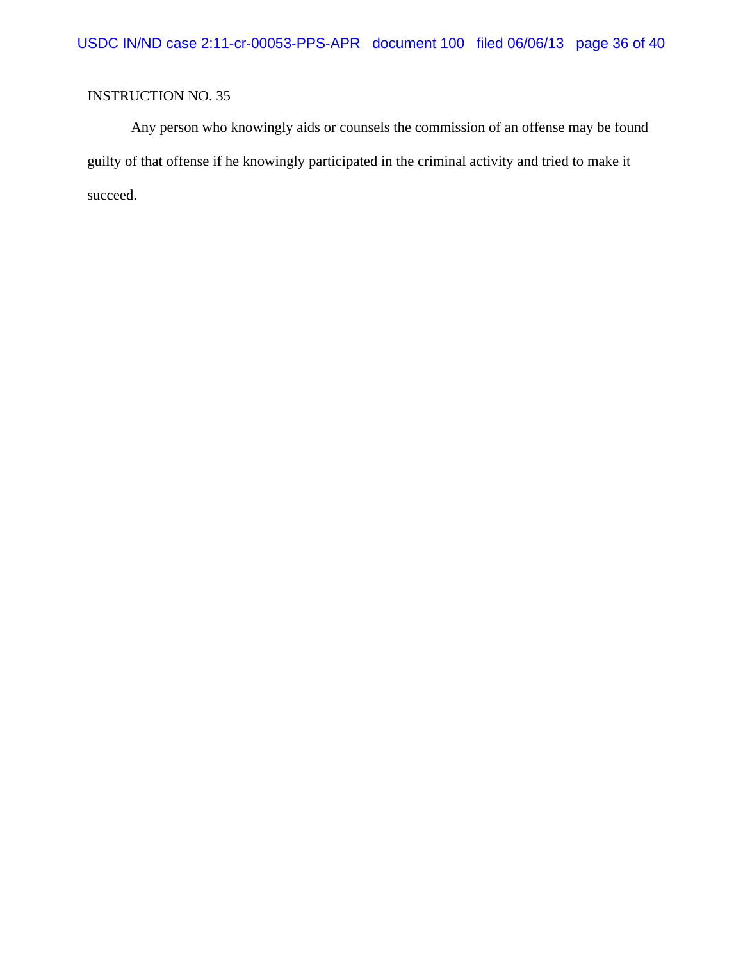Any person who knowingly aids or counsels the commission of an offense may be found guilty of that offense if he knowingly participated in the criminal activity and tried to make it succeed.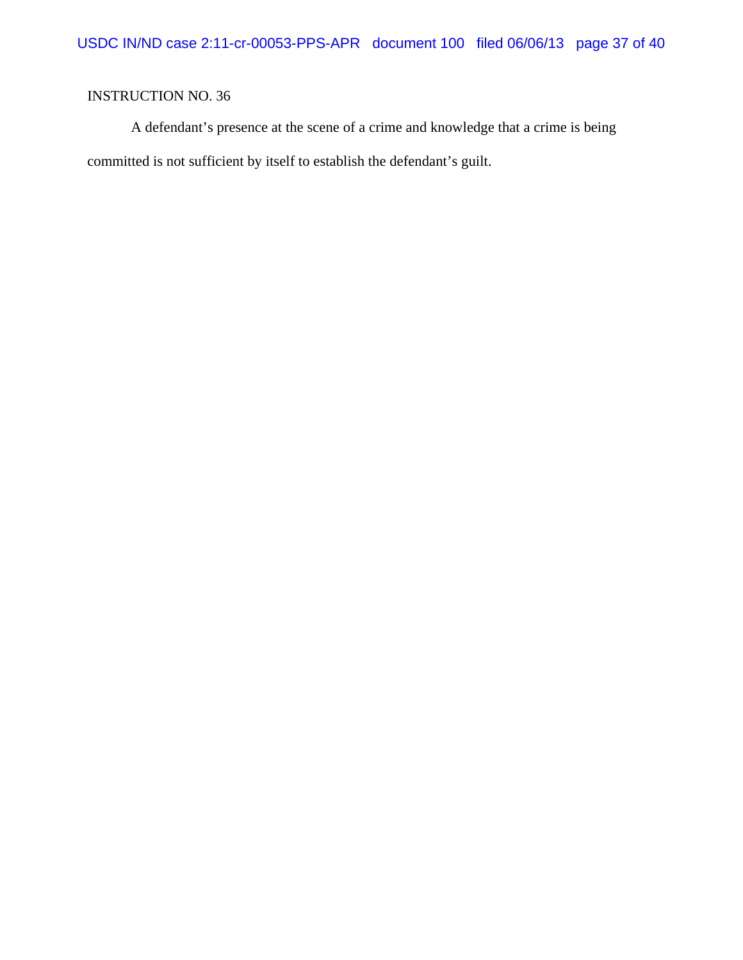A defendant's presence at the scene of a crime and knowledge that a crime is being committed is not sufficient by itself to establish the defendant's guilt.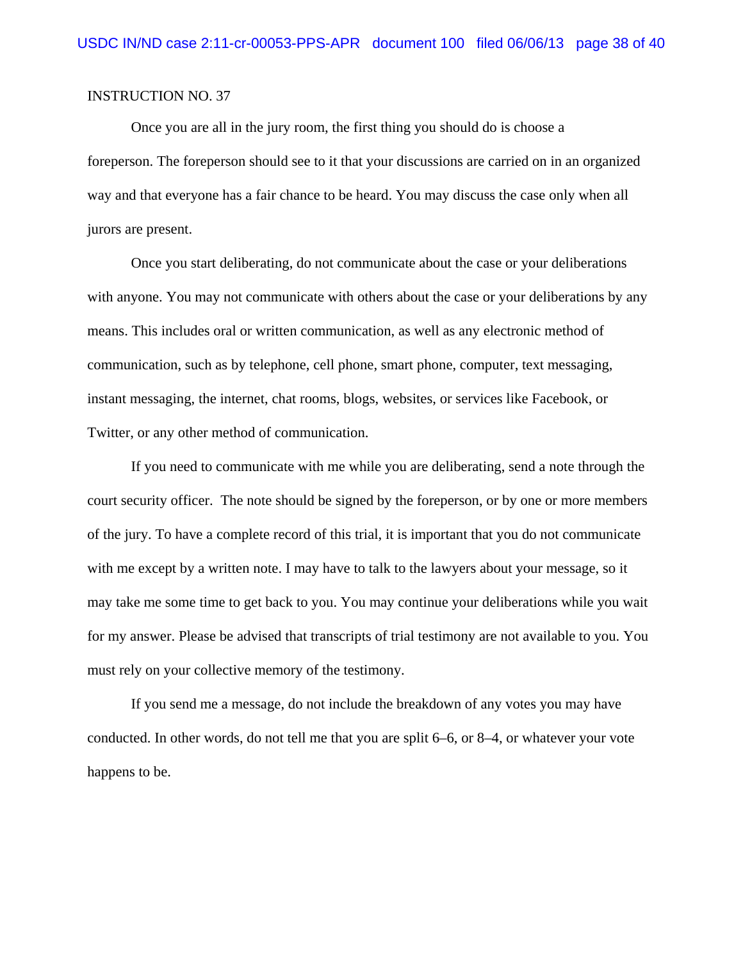Once you are all in the jury room, the first thing you should do is choose a foreperson. The foreperson should see to it that your discussions are carried on in an organized way and that everyone has a fair chance to be heard. You may discuss the case only when all jurors are present.

Once you start deliberating, do not communicate about the case or your deliberations with anyone. You may not communicate with others about the case or your deliberations by any means. This includes oral or written communication, as well as any electronic method of communication, such as by telephone, cell phone, smart phone, computer, text messaging, instant messaging, the internet, chat rooms, blogs, websites, or services like Facebook, or Twitter, or any other method of communication.

If you need to communicate with me while you are deliberating, send a note through the court security officer. The note should be signed by the foreperson, or by one or more members of the jury. To have a complete record of this trial, it is important that you do not communicate with me except by a written note. I may have to talk to the lawyers about your message, so it may take me some time to get back to you. You may continue your deliberations while you wait for my answer. Please be advised that transcripts of trial testimony are not available to you. You must rely on your collective memory of the testimony.

If you send me a message, do not include the breakdown of any votes you may have conducted. In other words, do not tell me that you are split 6–6, or 8–4, or whatever your vote happens to be.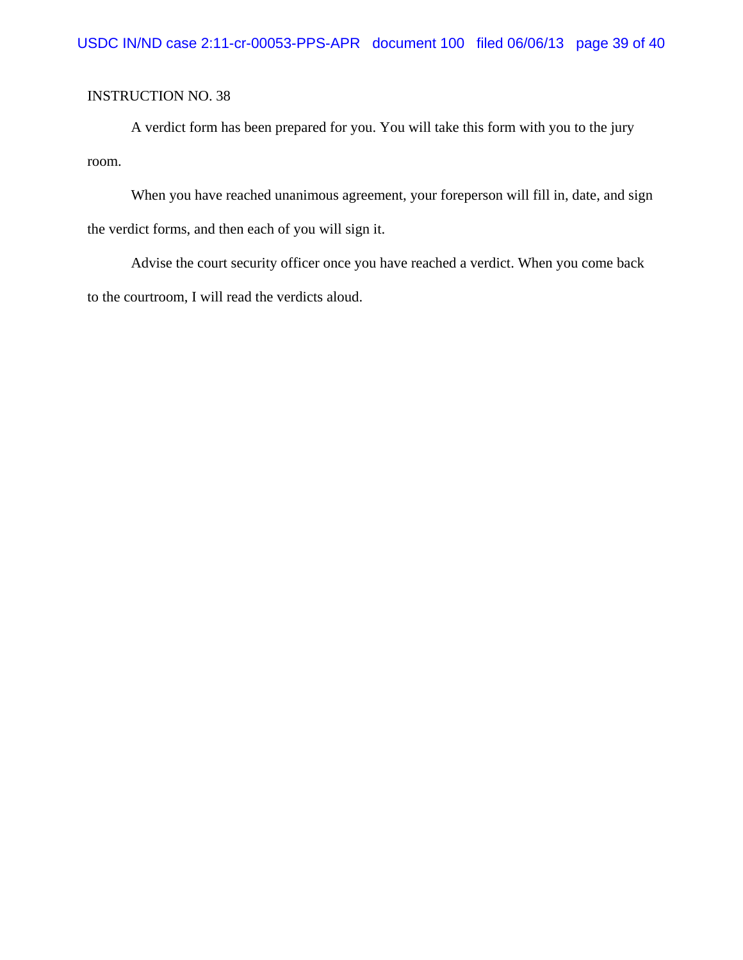A verdict form has been prepared for you. You will take this form with you to the jury room.

When you have reached unanimous agreement, your foreperson will fill in, date, and sign the verdict forms, and then each of you will sign it.

Advise the court security officer once you have reached a verdict. When you come back to the courtroom, I will read the verdicts aloud.